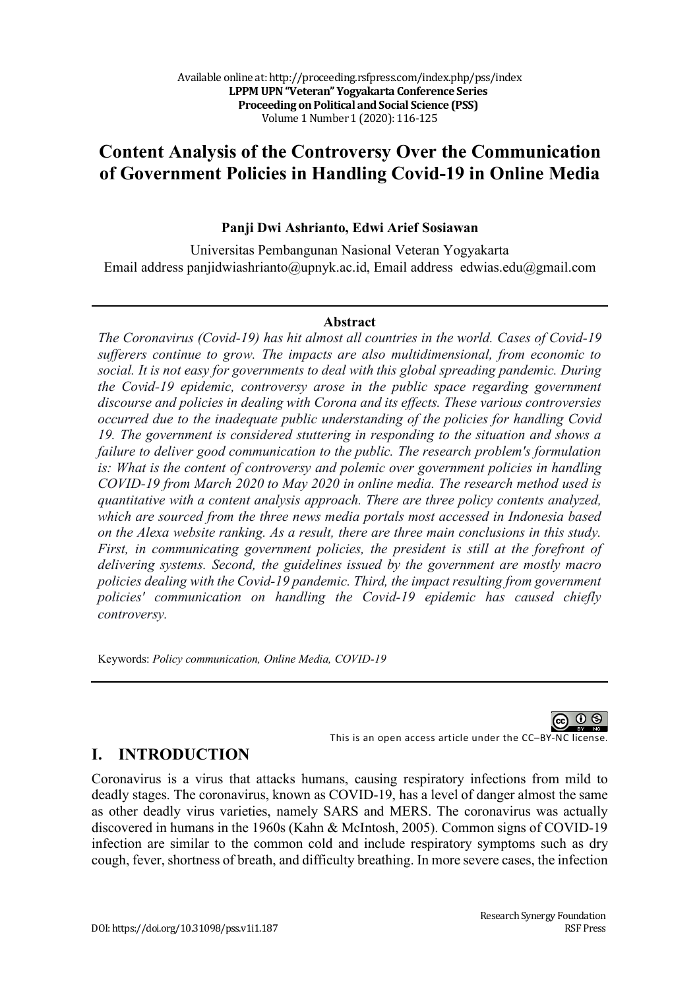# **Content Analysis of the Controversy Over the Communication of Government Policies in Handling Covid-19 in Online Media**

### **Panji Dwi Ashrianto, Edwi Arief Sosiawan**

Universitas Pembangunan Nasional Veteran Yogyakarta Email address panjidwiashrianto@upnyk.ac.id, Email address edwias.edu@gmail.com

#### **Abstract**

*The Coronavirus (Covid-19) has hit almost all countries in the world. Cases of Covid-19 sufferers continue to grow. The impacts are also multidimensional, from economic to social. It is not easy for governments to deal with this global spreading pandemic. During the Covid-19 epidemic, controversy arose in the public space regarding government discourse and policies in dealing with Corona and its effects. These various controversies occurred due to the inadequate public understanding of the policies for handling Covid 19. The government is considered stuttering in responding to the situation and shows a failure to deliver good communication to the public. The research problem's formulation is: What is the content of controversy and polemic over government policies in handling COVID-19 from March 2020 to May 2020 in online media. The research method used is quantitative with a content analysis approach. There are three policy contents analyzed, which are sourced from the three news media portals most accessed in Indonesia based on the Alexa website ranking. As a result, there are three main conclusions in this study. First, in communicating government policies, the president is still at the forefront of delivering systems. Second, the guidelines issued by the government are mostly macro policies dealing with the Covid-19 pandemic. Third, the impact resulting from government policies' communication on handling the Covid-19 epidemic has caused chiefly controversy.*

Keywords: *Policy communication, Online Media, COVID-19*

60 Q

This is an open access article under the CC–BY-NC license.

## **I. INTRODUCTION**

Coronavirus is a virus that attacks humans, causing respiratory infections from mild to deadly stages. The coronavirus, known as COVID-19, has a level of danger almost the same as other deadly virus varieties, namely SARS and MERS. The coronavirus was actually discovered in humans in the 1960s (Kahn & McIntosh, 2005). Common signs of COVID-19 infection are similar to the common cold and include respiratory symptoms such as dry cough, fever, shortness of breath, and difficulty breathing. In more severe cases, the infection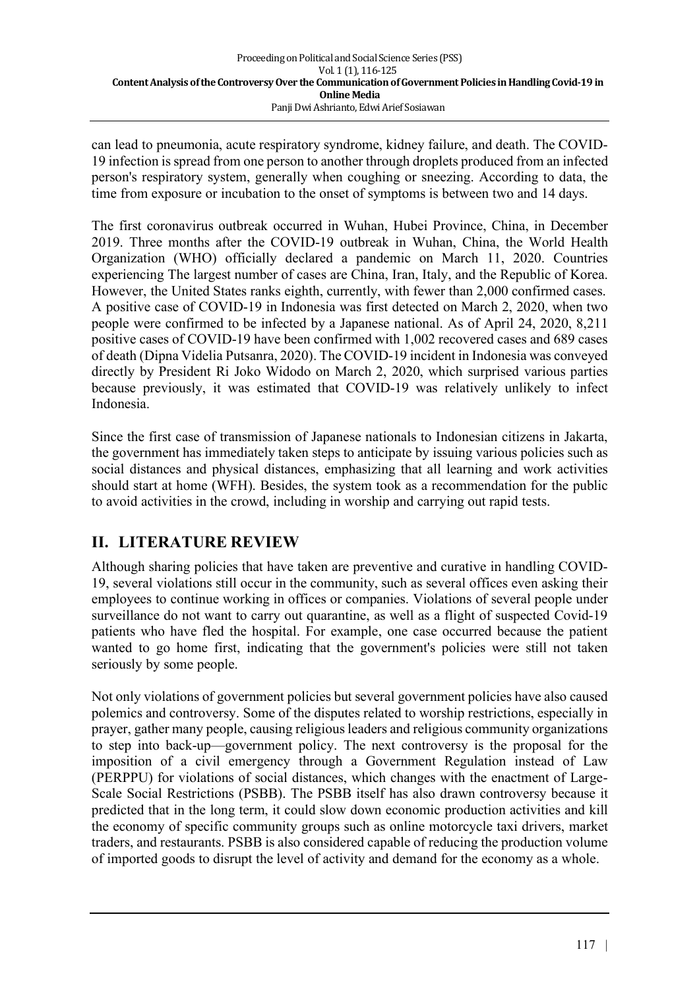can lead to pneumonia, acute respiratory syndrome, kidney failure, and death. The COVID-19 infection is spread from one person to another through droplets produced from an infected person's respiratory system, generally when coughing or sneezing. According to data, the time from exposure or incubation to the onset of symptoms is between two and 14 days.

The first coronavirus outbreak occurred in Wuhan, Hubei Province, China, in December 2019. Three months after the COVID-19 outbreak in Wuhan, China, the World Health Organization (WHO) officially declared a pandemic on March 11, 2020. Countries experiencing The largest number of cases are China, Iran, Italy, and the Republic of Korea. However, the United States ranks eighth, currently, with fewer than 2,000 confirmed cases. A positive case of COVID-19 in Indonesia was first detected on March 2, 2020, when two people were confirmed to be infected by a Japanese national. As of April 24, 2020, 8,211 positive cases of COVID-19 have been confirmed with 1,002 recovered cases and 689 cases of death (Dipna Videlia Putsanra, 2020). The COVID-19 incident in Indonesia was conveyed directly by President Ri Joko Widodo on March 2, 2020, which surprised various parties because previously, it was estimated that COVID-19 was relatively unlikely to infect Indonesia.

Since the first case of transmission of Japanese nationals to Indonesian citizens in Jakarta, the government has immediately taken steps to anticipate by issuing various policies such as social distances and physical distances, emphasizing that all learning and work activities should start at home (WFH). Besides, the system took as a recommendation for the public to avoid activities in the crowd, including in worship and carrying out rapid tests.

# **II. LITERATURE REVIEW**

Although sharing policies that have taken are preventive and curative in handling COVID-19, several violations still occur in the community, such as several offices even asking their employees to continue working in offices or companies. Violations of several people under surveillance do not want to carry out quarantine, as well as a flight of suspected Covid-19 patients who have fled the hospital. For example, one case occurred because the patient wanted to go home first, indicating that the government's policies were still not taken seriously by some people.

Not only violations of government policies but several government policies have also caused polemics and controversy. Some of the disputes related to worship restrictions, especially in prayer, gather many people, causing religious leaders and religious community organizations to step into back-up—government policy. The next controversy is the proposal for the imposition of a civil emergency through a Government Regulation instead of Law (PERPPU) for violations of social distances, which changes with the enactment of Large-Scale Social Restrictions (PSBB). The PSBB itself has also drawn controversy because it predicted that in the long term, it could slow down economic production activities and kill the economy of specific community groups such as online motorcycle taxi drivers, market traders, and restaurants. PSBB is also considered capable of reducing the production volume of imported goods to disrupt the level of activity and demand for the economy as a whole.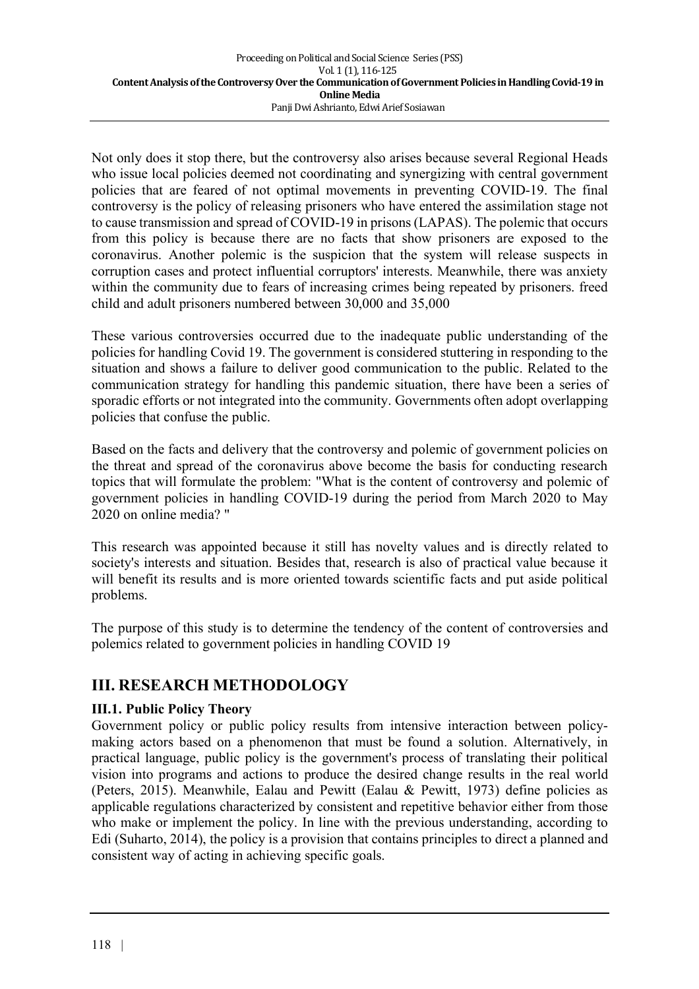Not only does it stop there, but the controversy also arises because several Regional Heads who issue local policies deemed not coordinating and synergizing with central government policies that are feared of not optimal movements in preventing COVID-19. The final controversy is the policy of releasing prisoners who have entered the assimilation stage not to cause transmission and spread of COVID-19 in prisons (LAPAS). The polemic that occurs from this policy is because there are no facts that show prisoners are exposed to the coronavirus. Another polemic is the suspicion that the system will release suspects in corruption cases and protect influential corruptors' interests. Meanwhile, there was anxiety within the community due to fears of increasing crimes being repeated by prisoners. freed child and adult prisoners numbered between 30,000 and 35,000

These various controversies occurred due to the inadequate public understanding of the policies for handling Covid 19. The government is considered stuttering in responding to the situation and shows a failure to deliver good communication to the public. Related to the communication strategy for handling this pandemic situation, there have been a series of sporadic efforts or not integrated into the community. Governments often adopt overlapping policies that confuse the public.

Based on the facts and delivery that the controversy and polemic of government policies on the threat and spread of the coronavirus above become the basis for conducting research topics that will formulate the problem: "What is the content of controversy and polemic of government policies in handling COVID-19 during the period from March 2020 to May 2020 on online media? "

This research was appointed because it still has novelty values and is directly related to society's interests and situation. Besides that, research is also of practical value because it will benefit its results and is more oriented towards scientific facts and put aside political problems.

The purpose of this study is to determine the tendency of the content of controversies and polemics related to government policies in handling COVID 19

# **III. RESEARCH METHODOLOGY**

### **III.1. Public Policy Theory**

Government policy or public policy results from intensive interaction between policymaking actors based on a phenomenon that must be found a solution. Alternatively, in practical language, public policy is the government's process of translating their political vision into programs and actions to produce the desired change results in the real world (Peters, 2015). Meanwhile, Ealau and Pewitt (Ealau & Pewitt, 1973) define policies as applicable regulations characterized by consistent and repetitive behavior either from those who make or implement the policy. In line with the previous understanding, according to Edi (Suharto, 2014), the policy is a provision that contains principles to direct a planned and consistent way of acting in achieving specific goals.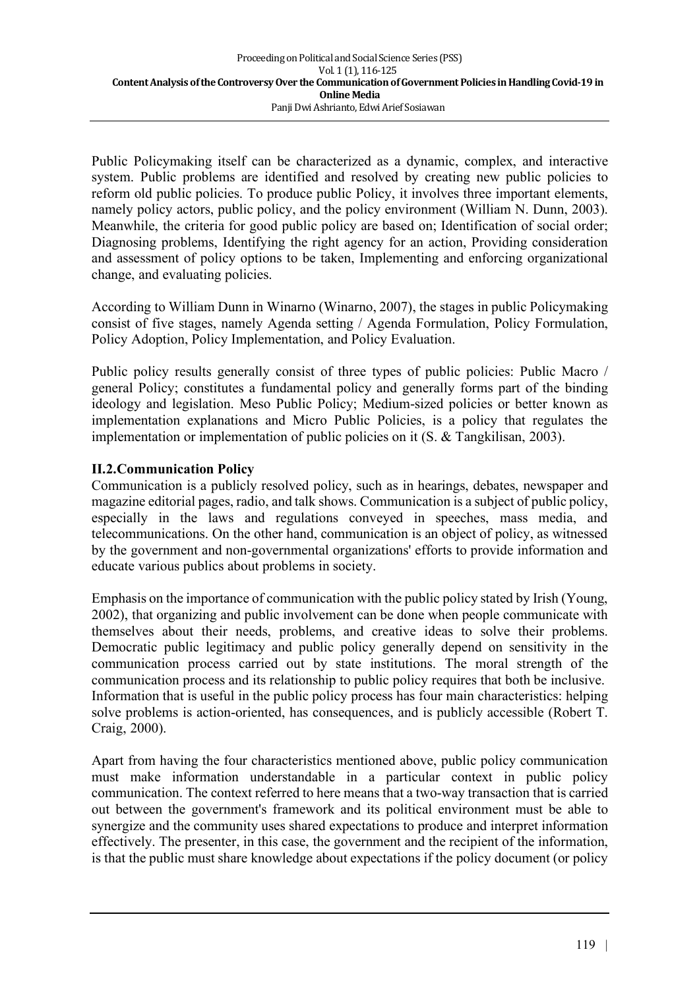Public Policymaking itself can be characterized as a dynamic, complex, and interactive system. Public problems are identified and resolved by creating new public policies to reform old public policies. To produce public Policy, it involves three important elements, namely policy actors, public policy, and the policy environment (William N. Dunn, 2003). Meanwhile, the criteria for good public policy are based on; Identification of social order; Diagnosing problems, Identifying the right agency for an action, Providing consideration and assessment of policy options to be taken, Implementing and enforcing organizational change, and evaluating policies.

According to William Dunn in Winarno (Winarno, 2007), the stages in public Policymaking consist of five stages, namely Agenda setting / Agenda Formulation, Policy Formulation, Policy Adoption, Policy Implementation, and Policy Evaluation.

Public policy results generally consist of three types of public policies: Public Macro / general Policy; constitutes a fundamental policy and generally forms part of the binding ideology and legislation. Meso Public Policy; Medium-sized policies or better known as implementation explanations and Micro Public Policies, is a policy that regulates the implementation or implementation of public policies on it (S. & Tangkilisan, 2003).

### **II.2.Communication Policy**

Communication is a publicly resolved policy, such as in hearings, debates, newspaper and magazine editorial pages, radio, and talk shows. Communication is a subject of public policy, especially in the laws and regulations conveyed in speeches, mass media, and telecommunications. On the other hand, communication is an object of policy, as witnessed by the government and non-governmental organizations' efforts to provide information and educate various publics about problems in society.

Emphasis on the importance of communication with the public policy stated by Irish (Young, 2002), that organizing and public involvement can be done when people communicate with themselves about their needs, problems, and creative ideas to solve their problems. Democratic public legitimacy and public policy generally depend on sensitivity in the communication process carried out by state institutions. The moral strength of the communication process and its relationship to public policy requires that both be inclusive. Information that is useful in the public policy process has four main characteristics: helping solve problems is action-oriented, has consequences, and is publicly accessible (Robert T. Craig, 2000).

Apart from having the four characteristics mentioned above, public policy communication must make information understandable in a particular context in public policy communication. The context referred to here means that a two-way transaction that is carried out between the government's framework and its political environment must be able to synergize and the community uses shared expectations to produce and interpret information effectively. The presenter, in this case, the government and the recipient of the information, is that the public must share knowledge about expectations if the policy document (or policy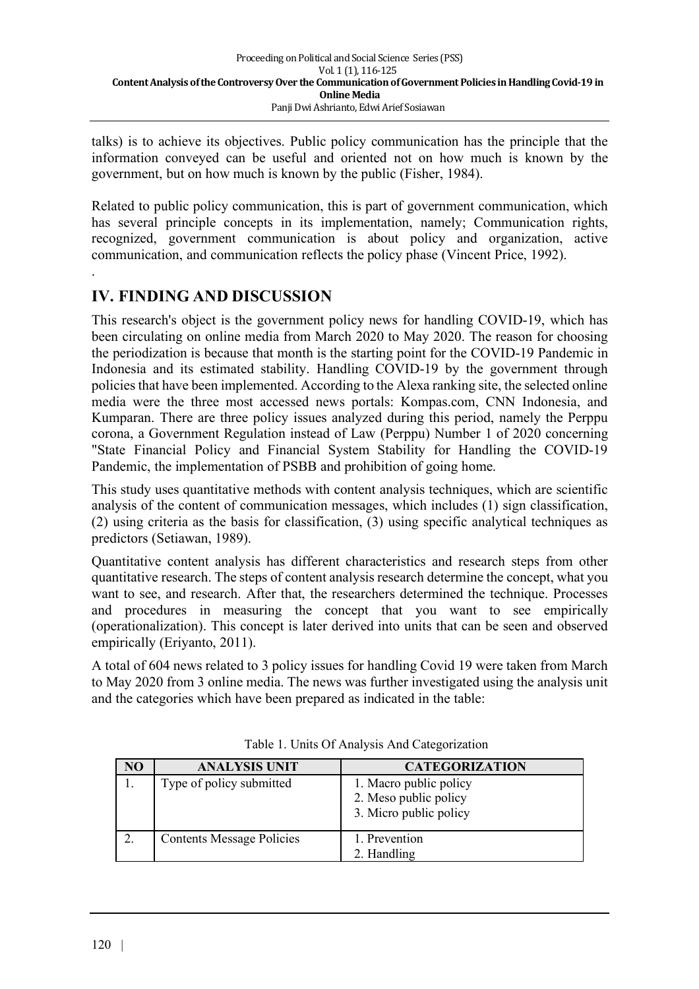talks) is to achieve its objectives. Public policy communication has the principle that the information conveyed can be useful and oriented not on how much is known by the government, but on how much is known by the public (Fisher, 1984).

Related to public policy communication, this is part of government communication, which has several principle concepts in its implementation, namely; Communication rights, recognized, government communication is about policy and organization, active communication, and communication reflects the policy phase (Vincent Price, 1992).

# **IV. FINDING AND DISCUSSION**

.

This research's object is the government policy news for handling COVID-19, which has been circulating on online media from March 2020 to May 2020. The reason for choosing the periodization is because that month is the starting point for the COVID-19 Pandemic in Indonesia and its estimated stability. Handling COVID-19 by the government through policies that have been implemented. According to the Alexa ranking site, the selected online media were the three most accessed news portals: Kompas.com, CNN Indonesia, and Kumparan. There are three policy issues analyzed during this period, namely the Perppu corona, a Government Regulation instead of Law (Perppu) Number 1 of 2020 concerning "State Financial Policy and Financial System Stability for Handling the COVID-19 Pandemic, the implementation of PSBB and prohibition of going home.

This study uses quantitative methods with content analysis techniques, which are scientific analysis of the content of communication messages, which includes (1) sign classification, (2) using criteria as the basis for classification, (3) using specific analytical techniques as predictors (Setiawan, 1989).

Quantitative content analysis has different characteristics and research steps from other quantitative research. The steps of content analysis research determine the concept, what you want to see, and research. After that, the researchers determined the technique. Processes and procedures in measuring the concept that you want to see empirically (operationalization). This concept is later derived into units that can be seen and observed empirically (Eriyanto, 2011).

A total of 604 news related to 3 policy issues for handling Covid 19 were taken from March to May 2020 from 3 online media. The news was further investigated using the analysis unit and the categories which have been prepared as indicated in the table:

| NO | <b>ANALYSIS UNIT</b>             | <b>CATEGORIZATION</b>                                                     |
|----|----------------------------------|---------------------------------------------------------------------------|
|    | Type of policy submitted         | 1. Macro public policy<br>2. Meso public policy<br>3. Micro public policy |
|    | <b>Contents Message Policies</b> | 1. Prevention<br>2. Handling                                              |

Table 1. Units Of Analysis And Categorization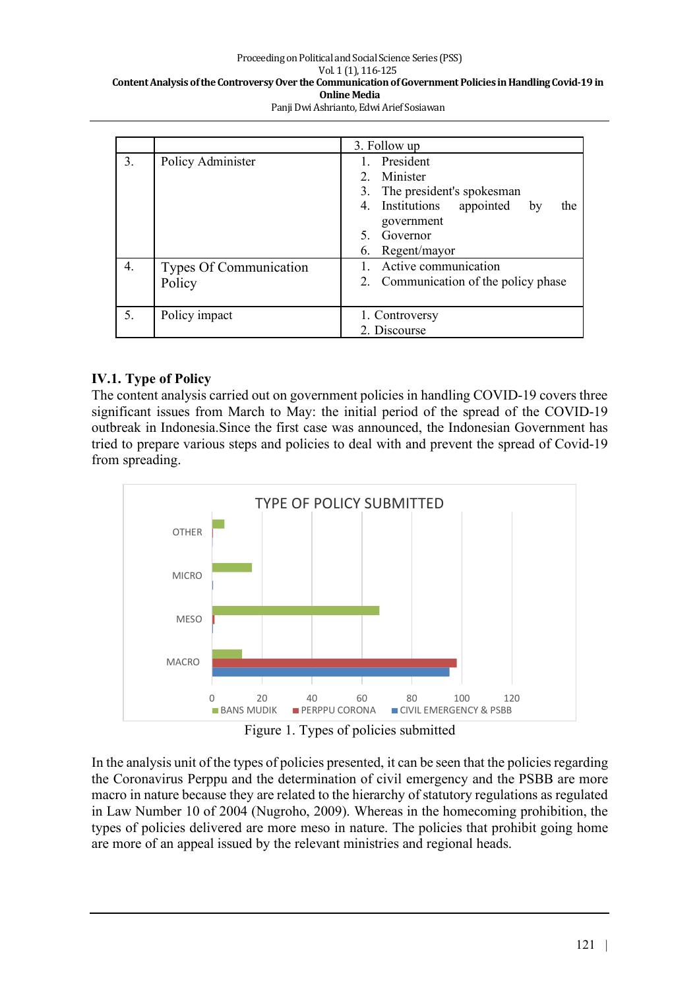#### Proceeding on Political and Social Science Series (PSS) Vol. 1 (1), 116-125 Content Analysis of the Controversy Over the Communication of Government Policies in Handling Covid-19 in **Online Media** Panji Dwi Ashrianto, Edwi Arief Sosiawan

|    |                                         | 3. Follow up                                                                                                                                                                                        |
|----|-----------------------------------------|-----------------------------------------------------------------------------------------------------------------------------------------------------------------------------------------------------|
| 3. | Policy Administer                       | President<br>$\mathbf{1}$<br>Minister<br>2 <sub>1</sub><br>3. The president's spokesman<br>Institutions appointed<br>$4_{\ldots}$<br>by<br>the<br>government<br>Governor<br>5<br>Regent/mayor<br>6. |
| 4. | <b>Types Of Communication</b><br>Policy | Active communication<br>2. Communication of the policy phase                                                                                                                                        |
| 5. | Policy impact                           | 1. Controversy<br>2. Discourse                                                                                                                                                                      |

### **IV.1. Type of Policy**

The content analysis carried out on government policies in handling COVID-19 covers three significant issues from March to May: the initial period of the spread of the COVID-19 outbreak in Indonesia.Since the first case was announced, the Indonesian Government has tried to prepare various steps and policies to deal with and prevent the spread of Covid-19 from spreading.



Figure 1. Types of policies submitted

In the analysis unit of the types of policies presented, it can be seen that the policies regarding the Coronavirus Perppu and the determination of civil emergency and the PSBB are more macro in nature because they are related to the hierarchy of statutory regulations as regulated in Law Number 10 of 2004 (Nugroho, 2009). Whereas in the homecoming prohibition, the types of policies delivered are more meso in nature. The policies that prohibit going home are more of an appeal issued by the relevant ministries and regional heads.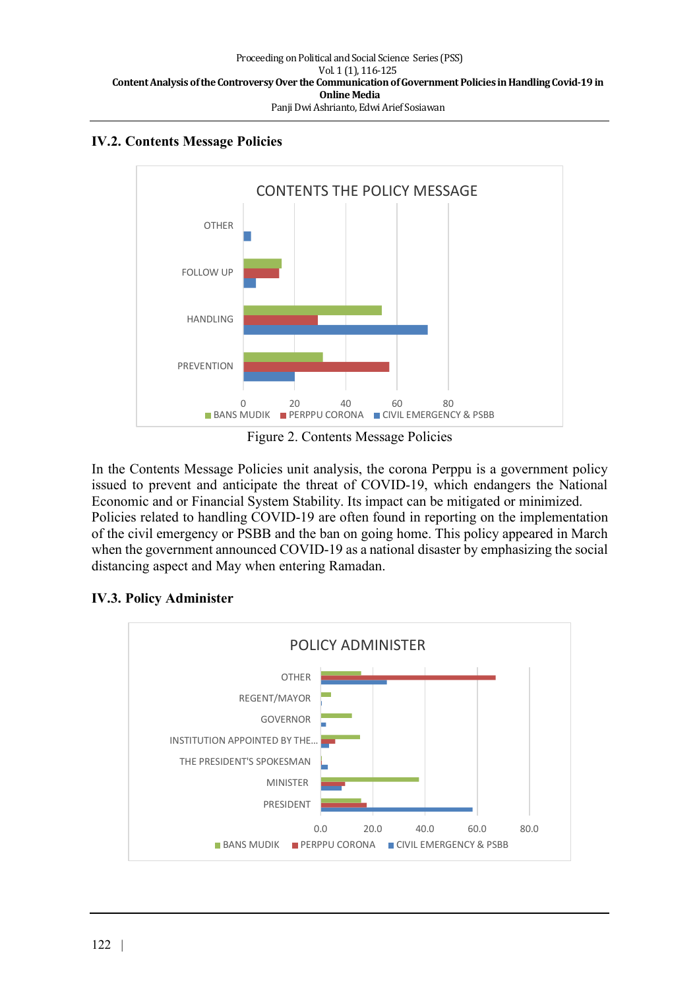### **IV.2. Contents Message Policies**



Figure 2. Contents Message Policies

In the Contents Message Policies unit analysis, the corona Perppu is a government policy issued to prevent and anticipate the threat of COVID-19, which endangers the National Economic and or Financial System Stability. Its impact can be mitigated or minimized. Policies related to handling COVID-19 are often found in reporting on the implementation of the civil emergency or PSBB and the ban on going home. This policy appeared in March when the government announced COVID-19 as a national disaster by emphasizing the social distancing aspect and May when entering Ramadan.

## **IV.3. Policy Administer**

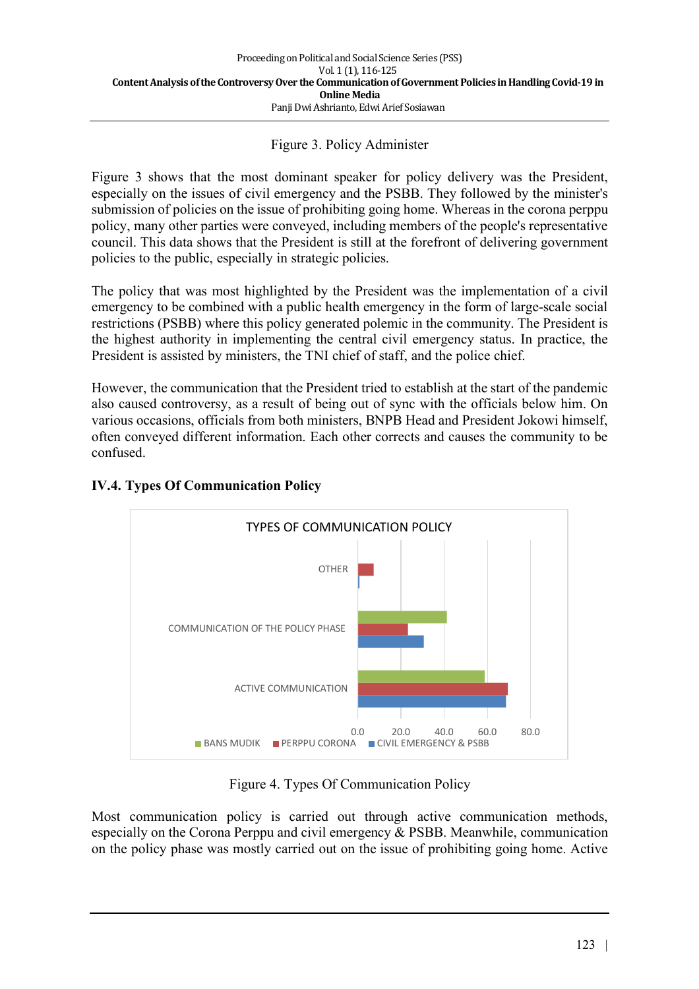### Figure 3. Policy Administer

Figure 3 shows that the most dominant speaker for policy delivery was the President, especially on the issues of civil emergency and the PSBB. They followed by the minister's submission of policies on the issue of prohibiting going home. Whereas in the corona perppu policy, many other parties were conveyed, including members of the people's representative council. This data shows that the President is still at the forefront of delivering government policies to the public, especially in strategic policies.

The policy that was most highlighted by the President was the implementation of a civil emergency to be combined with a public health emergency in the form of large-scale social restrictions (PSBB) where this policy generated polemic in the community. The President is the highest authority in implementing the central civil emergency status. In practice, the President is assisted by ministers, the TNI chief of staff, and the police chief.

However, the communication that the President tried to establish at the start of the pandemic also caused controversy, as a result of being out of sync with the officials below him. On various occasions, officials from both ministers, BNPB Head and President Jokowi himself, often conveyed different information. Each other corrects and causes the community to be confused.



## **IV.4. Types Of Communication Policy**

Figure 4. Types Of Communication Policy

Most communication policy is carried out through active communication methods, especially on the Corona Perppu and civil emergency & PSBB. Meanwhile, communication on the policy phase was mostly carried out on the issue of prohibiting going home. Active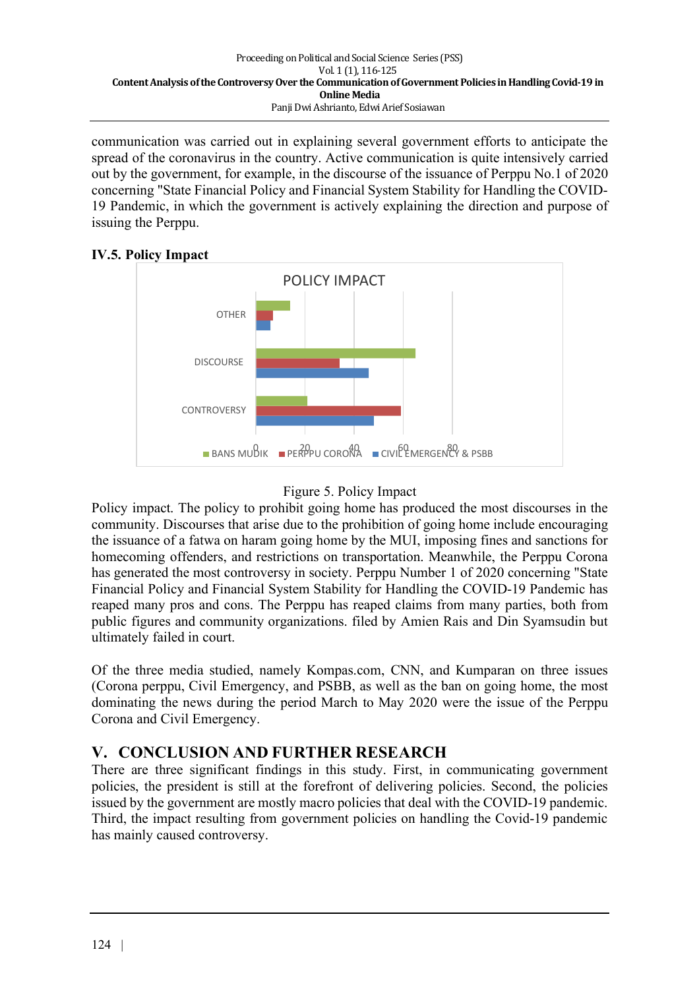communication was carried out in explaining several government efforts to anticipate the spread of the coronavirus in the country. Active communication is quite intensively carried out by the government, for example, in the discourse of the issuance of Perppu No.1 of 2020 concerning "State Financial Policy and Financial System Stability for Handling the COVID-19 Pandemic, in which the government is actively explaining the direction and purpose of issuing the Perppu.

## **IV.5. Policy Impact**





Policy impact. The policy to prohibit going home has produced the most discourses in the community. Discourses that arise due to the prohibition of going home include encouraging the issuance of a fatwa on haram going home by the MUI, imposing fines and sanctions for homecoming offenders, and restrictions on transportation. Meanwhile, the Perppu Corona has generated the most controversy in society. Perppu Number 1 of 2020 concerning "State Financial Policy and Financial System Stability for Handling the COVID-19 Pandemic has reaped many pros and cons. The Perppu has reaped claims from many parties, both from public figures and community organizations. filed by Amien Rais and Din Syamsudin but ultimately failed in court.

Of the three media studied, namely Kompas.com, CNN, and Kumparan on three issues (Corona perppu, Civil Emergency, and PSBB, as well as the ban on going home, the most dominating the news during the period March to May 2020 were the issue of the Perppu Corona and Civil Emergency.

# **V. CONCLUSION AND FURTHER RESEARCH**

There are three significant findings in this study. First, in communicating government policies, the president is still at the forefront of delivering policies. Second, the policies issued by the government are mostly macro policies that deal with the COVID-19 pandemic. Third, the impact resulting from government policies on handling the Covid-19 pandemic has mainly caused controversy.